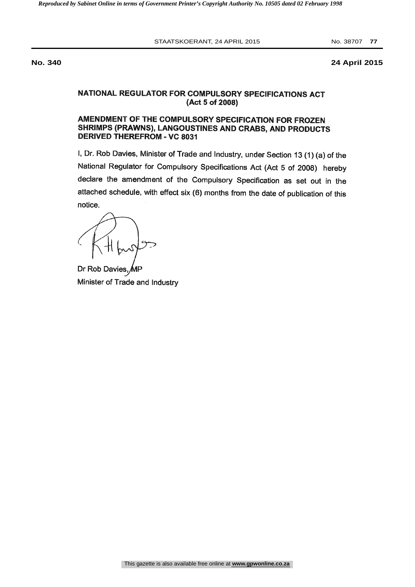STAATSKOERANT, 24 APRIL 2015 No. 38707 77

**No. 340 24 April 2015**

# NATIONAL REGULATOR FOR COMPULSORY SPECIFICATIONS ACT (Act 5 of 2008)

# AMENDMENT OF THE COMPULSORY SPECIFICATION FOR FROZEN SHRIMPS (PRAWNS), LANGOUSTINES AND CRABS, AND PRODUCTS DERIVED THEREFROM - VC 8031

I, Dr. Rob Davies, Minister of Trade and Industry, under Section 13 (1) (a) of the National Regulator for Compulsory Specifications Act (Act 5 of 2008) hereby declare the amendment of the Compulsory Specification as set out in the attached schedule, with effect six (6) months from the date of publication of this notice.

Dr Rob Davies, Minister of Trade and Industry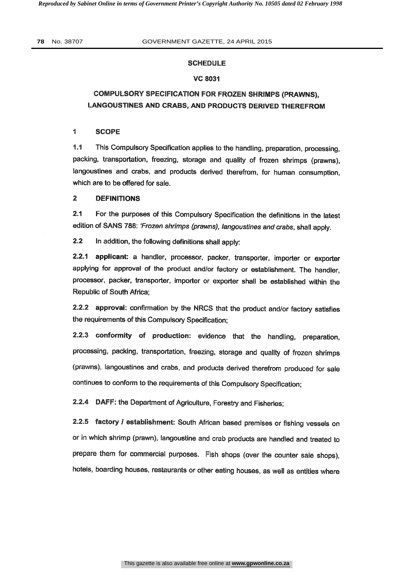#### SCHEDULE

#### VC 8031

# COMPULSORY SPECIFICATION FOR FROZEN SHRIMPS (PRAWNS), LANGOUSTINES AND CRABS, AND PRODUCTS DERIVED THEREFROM

#### <sup>1</sup> SCOPE

1.1 This Compulsory Specification applies to the handling, preparation, processing, packing, transportation, freezing, storage and quality of frozen shrimps (prawns), langoustines and crabs, and products derived therefrom, for human consumption, which are to be offered for sale.

#### 2 DEFINITIONS

2.1 For the purposes of this Compulsory Specification the definitions in the latest edition of SANS 788: 'Frozen shrimps (prawns), langoustines and crabs, shall apply.

2.2 In addition, the following definitions shall apply:

2.2.1 applicant: a handler, processor, packer, transporter, importer or exporter applying for approval of the product and/or factory or establishment. The handler, processor, packer, transporter, importer or exporter shall be established within the Republic of South Africa;

2.2.2 approval: confirmation by the NRCS that the product and/or factory satisfies the requirements of this Compulsory Specification;

2.2.3 conformity of production: evidence that the handling, preparation, processing, packing, transportation, freezing, storage and quality of frozen shrimps (prawns), langoustines and crabs, and products derived therefrom produced for sale continues to conform to the requirements of this Compulsory Specification;

2.2.4 DAFF: the Department of Agriculture, Forestry and Fisheries;

2.2.5 factory / establishment: South African based premises or fishing vessels on or in which shrimp (prawn), langoustine and crab products are handled and treated to prepare them for commercial purposes. Fish shops (over the counter sale shops), hotels, boarding houses, restaurants or other eating houses, as well as entities where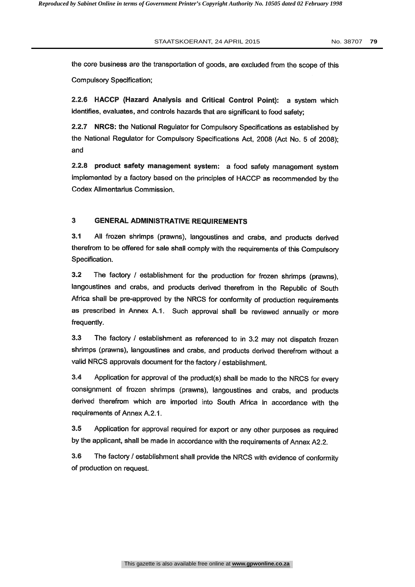the core business are the transportation of goods, are excluded from the scope of this Compulsory Specification;

2.2.6 HACCP (Hazard Analysis and Critical Control Point): a system which identifies, evaluates, and controls hazards that are significant to food safety;

2.2.7 NRCS: the National Regulator for Compulsory Specifications as established by the National Regulator for Compulsory Specifications Act, 2008 (Act No. 5 of 2008); and

2.2.8 product safety management system: a food safety management system implemented by a factory based on the principles of HACCP as recommended by the Codex Alimentarius Commission.

#### 3 GENERAL ADMINISTRATIVE REQUIREMENTS

3.1 All frozen shrimps (prawns), langoustines and crabs, and products derived therefrom to be offered for sale shall comply with the requirements of this Compulsory Specification.

3.2 The factory / establishment for the production for frozen shrimps (prawns), langoustines and crabs, and products derived therefrom in the Republic of South Africa shall be pre-approved by the NRCS for conformity of production requirements as prescribed in Annex A.1. Such approval shall be reviewed annually or more frequently.

3.3 The factory / establishment as referenced to in 3.2 may not dispatch frozen shrimps (prawns), langoustines and crabs, and products derived therefrom without a valid NRCS approvals document for the factory / establishment.

3.4 Application for approval of the product(s) shall be made to the NRCS for every consignment of frozen shrimps (prawns), langoustines and crabs, and products derived therefrom which are imported into South Africa in accordance with the requirements of Annex A.2.1.

3.5 Application for approval required for export or any other purposes as required by the applicant, shall be made in accordance with the requirements of Annex A2.2.

3.6 The factory / establishment shall provide the NRCS with evidence of conformity of production on request.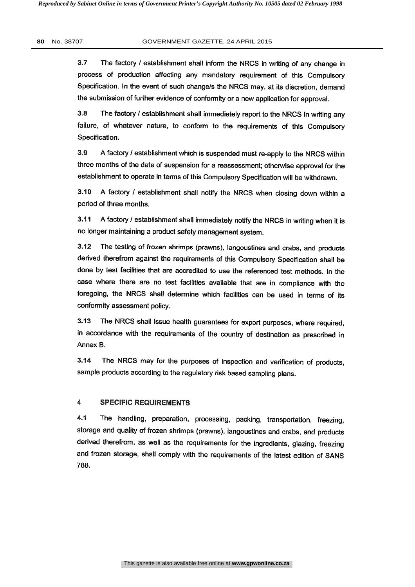3.7 The factory / establishment shall inform the NRCS in writing of any change in process of production affecting any mandatory requirement of this Compulsory Specification. In the event of such change/s the NRCS may, at its discretion, demand the submission of further evidence of conformity or a new application for approval.

3.8 The factory / establishment shall immediately report to the NRCS in writing any failure, of whatever nature, to conform to the requirements of this Compulsory Specification.

3.9 A factory / establishment which is suspended must re-apply to the NRCS within three months of the date of suspension for a reassessment; otherwise approval for the establishment to operate in terms of this Compulsory Specification will be withdrawn.

3.10 A factory / establishment shall notify the NRCS when closing down within a period of three months.

3.11 A factory / establishment shall immediately notify the NRCS in writing when it is no longer maintaining a product safety management system.

3.12 The testing of frozen shrimps (prawns), langoustines and crabs, and products derived therefrom against the requirements of this Compulsory Specification shall be done by test facilities that are accredited to use the referenced test methods. In the case where there are no test facilities available that are in compliance with the foregoing, the NRCS shall determine which facilities can be used in terms of its conformity assessment policy.

3.13 The NRCS shall issue health guarantees for export purposes, where required, in accordance with the requirements of the country of destination as prescribed in Annex B.

3.14 The NRCS may for the purposes of inspection and verification of products, sample products according to the regulatory risk based sampling plans.

## 4 SPECIFIC REQUIREMENTS

4.1 The handling, preparation, processing, packing, transportation, freezing, storage and quality of frozen shrimps (prawns), langoustines and crabs, and products derived therefrom, as well as the requirements for the ingredients, glazing, freezing and frozen storage, shall comply with the requirements of the latest edition of SANS 788.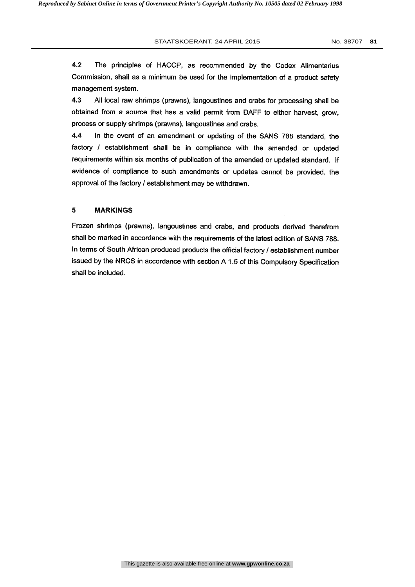4.2 The principles of HACCP, as recommended by the Codex Alimentarius Commission, shall as a minimum be used for the implementation of a product safety management system.

4.3 All local raw shrimps (prawns), langoustines and crabs for processing shall be obtained from a source that has a valid permit from DAFF to either harvest, grow, process or supply shrimps (prawns), langoustines and crabs.

4.4 In the event of an amendment or updating of the SANS 788 standard, the factory / establishment shall be in compliance with the amended or updated requirements within six months of publication of the amended or updated standard. If evidence of compliance to such amendments or updates cannot be provided, the approval of the factory / establishment may be withdrawn.

#### 5 MARKINGS

Frozen shrimps (prawns), langoustines and crabs, and products derived therefrom shall be marked in accordance with the requirements of the latest edition of SANS 788. In terms of South African produced products the official factory / establishment number issued by the NRCS in accordance with section A 1.5 of this Compulsory Specification shall be included.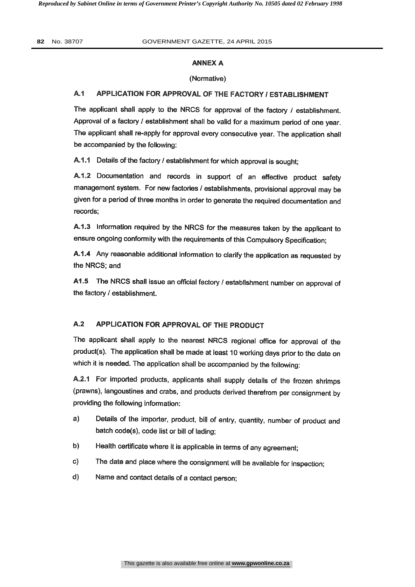### ANNEX A

### (Normative)

## A.1 APPLICATION FOR APPROVAL OF THE FACTORY / ESTABLISHMENT

The applicant shall apply to the NRCS for approval of the factory / establishment. Approval of a factory / establishment shall be valid for a maximum period of one year. The applicant shall re-apply for approval every consecutive year. The application shall be accompanied by the following:

A.1.1 Details of the factory / establishment for which approval is sought;

A.1.2 Documentation and records in support of an effective product safety management system. For new factories / establishments, provisional approval may be given for a period of three months in order to generate the required documentation and records;

A.1.3 Information required by the NRCS for the measures taken by the applicant to ensure ongoing conformity with the requirements of this Compulsory Specification;

A.1.4 Any reasonable additional information to clarify the application as requested by the NRCS; and

A1.5 The NRCS shall issue an official factory / establishment number on approval of the factory / establishment.

# A.2 APPLICATION FOR APPROVAL OF THE PRODUCT

The applicant shall apply to the nearest NRCS regional office for approval of the product(s). The application shall be made at least 10 working days prior to the date on which it is needed. The application shall be accompanied by the following:

A.2.1 For imported products, applicants shall supply details of the frozen shrimps (prawns), langoustines and crabs, and products derived therefrom per consignment by providing the following information:

- a) Details of the importer, product, bill of entry, quantity, number of product and batch code(s), code list or bill of lading;
- b) Health certificate where it is applicable in terms of any agreement;
- c) The date and place where the consignment will be available for inspection;
- d) Name and contact details of a contact person;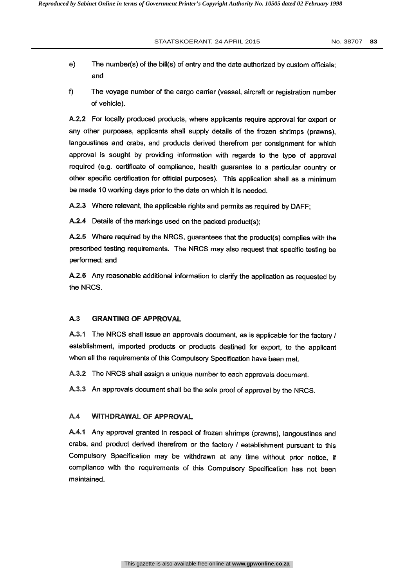- e) The number(s) of the bill(s) of entry and the date authorized by custom officials; and
- f) The voyage number of the cargo carrier (vessel, aircraft or registration number of vehicle).

A.2.2 For locally produced products, where applicants require approval for export or any other purposes, applicants shall supply details of the frozen shrimps (prawns), langoustines and crabs, and products derived therefrom per consignment for which approval is sought by providing information with regards to the type of approval required (e.g. certificate of compliance, health guarantee to a particular country or other specific certification for official purposes). This application shall as a minimum be made 10 working days prior to the date on which it is needed.

A.2.3 Where relevant, the applicable rights and permits as required by DAFF;

A.2.4 Details of the markings used on the packed product(s);

A.2.5 Where required by the NRCS, guarantees that the product(s) complies with the prescribed testing requirements. The NRCS may also request that specific testing be performed; and

A.2.6 Any reasonable additional information to clarify the application as requested by the NRCS.

#### A.3 GRANTING OF APPROVAL

A.3.1 The NRCS shall issue an approvals document, as is applicable for the factory / establishment, imported products or products destined for export, to the applicant when all the requirements of this Compulsory Specification have been met.

A.3.2 The NRCS shall assign a unique number to each approvals document.

A.3.3 An approvals document shall be the sole proof of approval by the NRCS.

#### A.4 WITHDRAWAL OF APPROVAL

A.4.1 Any approval granted in respect of frozen shrimps (prawns), langoustines and crabs, and product derived therefrom or the factory / establishment pursuant to this Compulsory Specification may be withdrawn at any time without prior notice, if compliance with the requirements of this Compulsory Specification has not been maintained.